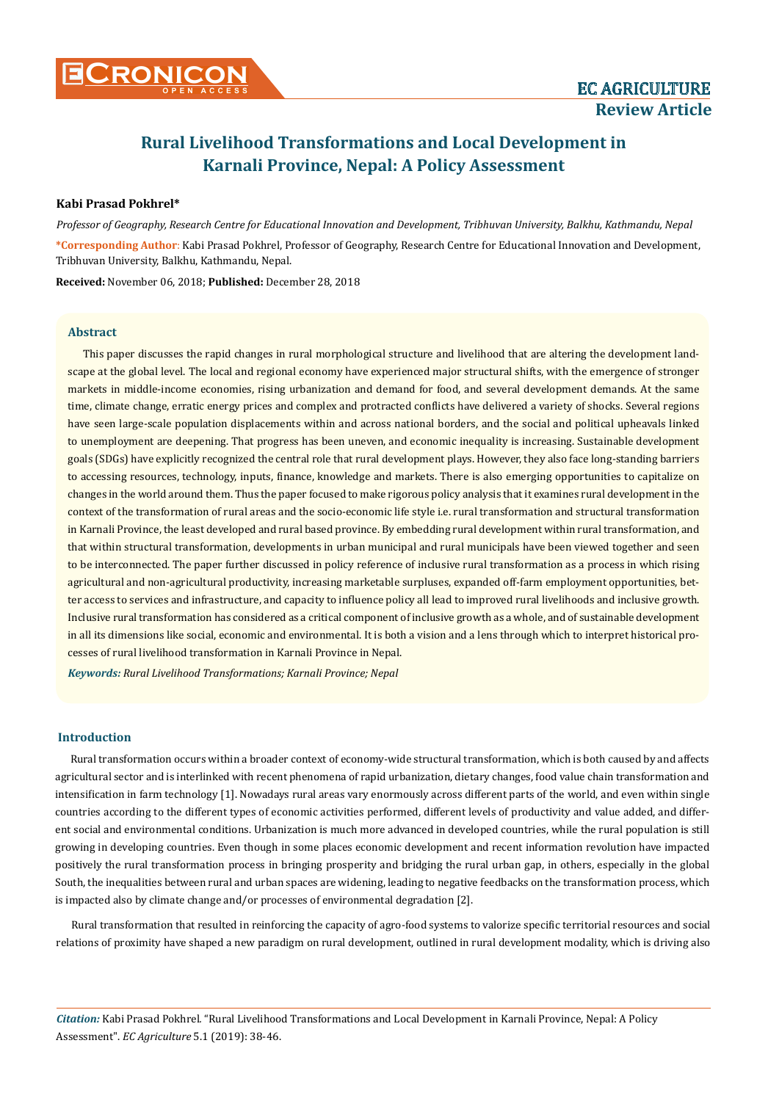# **Rural Livelihood Transformations and Local Development in Karnali Province, Nepal: A Policy Assessment**

# **Kabi Prasad Pokhrel\***

*Professor of Geography, Research Centre for Educational Innovation and Development, Tribhuvan University, Balkhu, Kathmandu, Nepal*

**\*Corresponding Author**: Kabi Prasad Pokhrel, Professor of Geography, Research Centre for Educational Innovation and Development, Tribhuvan University, Balkhu, Kathmandu, Nepal.

**Received:** November 06, 2018; **Published:** December 28, 2018

## **Abstract**

This paper discusses the rapid changes in rural morphological structure and livelihood that are altering the development landscape at the global level. The local and regional economy have experienced major structural shifts, with the emergence of stronger markets in middle-income economies, rising urbanization and demand for food, and several development demands. At the same time, climate change, erratic energy prices and complex and protracted conflicts have delivered a variety of shocks. Several regions have seen large-scale population displacements within and across national borders, and the social and political upheavals linked to unemployment are deepening. That progress has been uneven, and economic inequality is increasing. Sustainable development goals (SDGs) have explicitly recognized the central role that rural development plays. However, they also face long-standing barriers to accessing resources, technology, inputs, finance, knowledge and markets. There is also emerging opportunities to capitalize on changes in the world around them. Thus the paper focused to make rigorous policy analysis that it examines rural development in the context of the transformation of rural areas and the socio-economic life style i.e. rural transformation and structural transformation in Karnali Province, the least developed and rural based province. By embedding rural development within rural transformation, and that within structural transformation, developments in urban municipal and rural municipals have been viewed together and seen to be interconnected. The paper further discussed in policy reference of inclusive rural transformation as a process in which rising agricultural and non-agricultural productivity, increasing marketable surpluses, expanded off-farm employment opportunities, better access to services and infrastructure, and capacity to influence policy all lead to improved rural livelihoods and inclusive growth. Inclusive rural transformation has considered as a critical component of inclusive growth as a whole, and of sustainable development in all its dimensions like social, economic and environmental. It is both a vision and a lens through which to interpret historical processes of rural livelihood transformation in Karnali Province in Nepal.

*Keywords: Rural Livelihood Transformations; Karnali Province; Nepal*

# **Introduction**

Rural transformation occurs within a broader context of economy-wide structural transformation, which is both caused by and affects agricultural sector and is interlinked with recent phenomena of rapid urbanization, dietary changes, food value chain transformation and intensification in farm technology [1]. Nowadays rural areas vary enormously across different parts of the world, and even within single countries according to the different types of economic activities performed, different levels of productivity and value added, and different social and environmental conditions. Urbanization is much more advanced in developed countries, while the rural population is still growing in developing countries. Even though in some places economic development and recent information revolution have impacted positively the rural transformation process in bringing prosperity and bridging the rural urban gap, in others, especially in the global South, the inequalities between rural and urban spaces are widening, leading to negative feedbacks on the transformation process, which is impacted also by climate change and/or processes of environmental degradation [2].

Rural transformation that resulted in reinforcing the capacity of agro-food systems to valorize specific territorial resources and social relations of proximity have shaped a new paradigm on rural development, outlined in rural development modality, which is driving also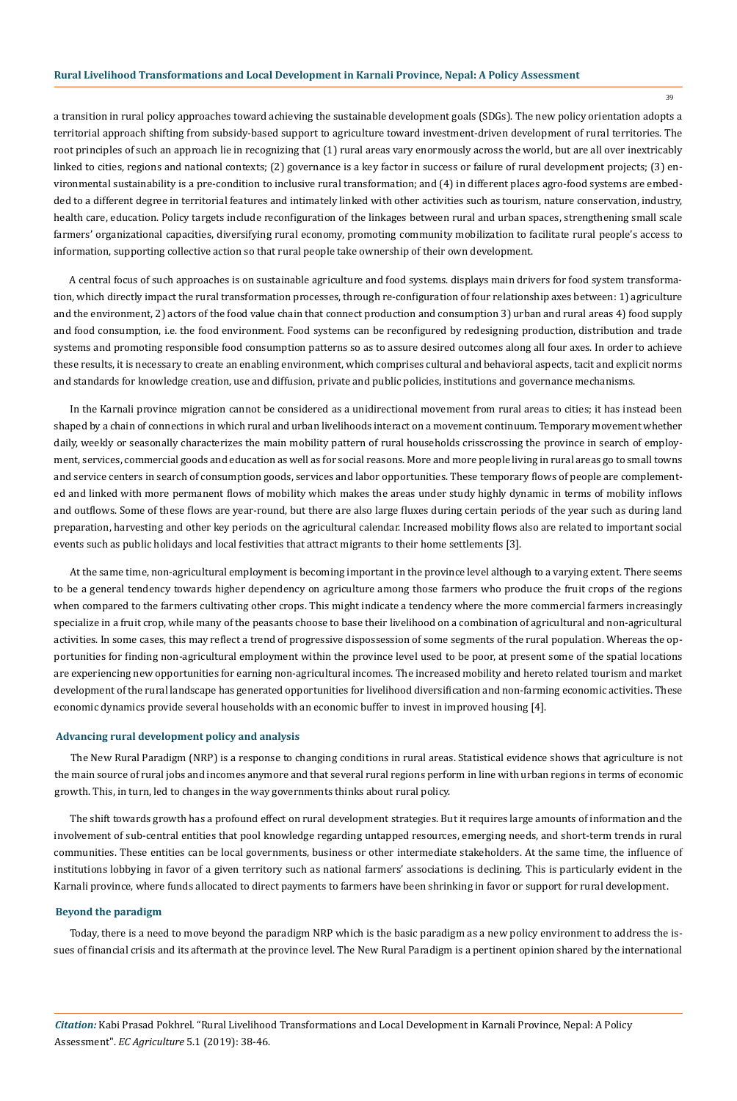a transition in rural policy approaches toward achieving the sustainable development goals (SDGs). The new policy orientation adopts a territorial approach shifting from subsidy-based support to agriculture toward investment-driven development of rural territories. The root principles of such an approach lie in recognizing that (1) rural areas vary enormously across the world, but are all over inextricably linked to cities, regions and national contexts; (2) governance is a key factor in success or failure of rural development projects; (3) environmental sustainability is a pre-condition to inclusive rural transformation; and (4) in different places agro-food systems are embedded to a different degree in territorial features and intimately linked with other activities such as tourism, nature conservation, industry, health care, education. Policy targets include reconfiguration of the linkages between rural and urban spaces, strengthening small scale farmers' organizational capacities, diversifying rural economy, promoting community mobilization to facilitate rural people's access to information, supporting collective action so that rural people take ownership of their own development.

A central focus of such approaches is on sustainable agriculture and food systems. displays main drivers for food system transformation, which directly impact the rural transformation processes, through re-configuration of four relationship axes between: 1) agriculture and the environment, 2) actors of the food value chain that connect production and consumption 3) urban and rural areas 4) food supply and food consumption, i.e. the food environment. Food systems can be reconfigured by redesigning production, distribution and trade systems and promoting responsible food consumption patterns so as to assure desired outcomes along all four axes. In order to achieve these results, it is necessary to create an enabling environment, which comprises cultural and behavioral aspects, tacit and explicit norms and standards for knowledge creation, use and diffusion, private and public policies, institutions and governance mechanisms.

In the Karnali province migration cannot be considered as a unidirectional movement from rural areas to cities; it has instead been shaped by a chain of connections in which rural and urban livelihoods interact on a movement continuum. Temporary movement whether daily, weekly or seasonally characterizes the main mobility pattern of rural households crisscrossing the province in search of employment, services, commercial goods and education as well as for social reasons. More and more people living in rural areas go to small towns and service centers in search of consumption goods, services and labor opportunities. These temporary flows of people are complemented and linked with more permanent flows of mobility which makes the areas under study highly dynamic in terms of mobility inflows and outflows. Some of these flows are year-round, but there are also large fluxes during certain periods of the year such as during land preparation, harvesting and other key periods on the agricultural calendar. Increased mobility flows also are related to important social events such as public holidays and local festivities that attract migrants to their home settlements [3].

At the same time, non-agricultural employment is becoming important in the province level although to a varying extent. There seems to be a general tendency towards higher dependency on agriculture among those farmers who produce the fruit crops of the regions when compared to the farmers cultivating other crops. This might indicate a tendency where the more commercial farmers increasingly specialize in a fruit crop, while many of the peasants choose to base their livelihood on a combination of agricultural and non-agricultural activities. In some cases, this may reflect a trend of progressive dispossession of some segments of the rural population. Whereas the opportunities for finding non-agricultural employment within the province level used to be poor, at present some of the spatial locations are experiencing new opportunities for earning non-agricultural incomes. The increased mobility and hereto related tourism and market development of the rural landscape has generated opportunities for livelihood diversification and non-farming economic activities. These economic dynamics provide several households with an economic buffer to invest in improved housing [4].

## **Advancing rural development policy and analysis**

The New Rural Paradigm (NRP) is a response to changing conditions in rural areas. Statistical evidence shows that agriculture is not the main source of rural jobs and incomes anymore and that several rural regions perform in line with urban regions in terms of economic growth. This, in turn, led to changes in the way governments thinks about rural policy.

The shift towards growth has a profound effect on rural development strategies. But it requires large amounts of information and the involvement of sub-central entities that pool knowledge regarding untapped resources, emerging needs, and short-term trends in rural communities. These entities can be local governments, business or other intermediate stakeholders. At the same time, the influence of institutions lobbying in favor of a given territory such as national farmers' associations is declining. This is particularly evident in the Karnali province, where funds allocated to direct payments to farmers have been shrinking in favor or support for rural development.

# **Beyond the paradigm**

Today, there is a need to move beyond the paradigm NRP which is the basic paradigm as a new policy environment to address the issues of financial crisis and its aftermath at the province level. The New Rural Paradigm is a pertinent opinion shared by the international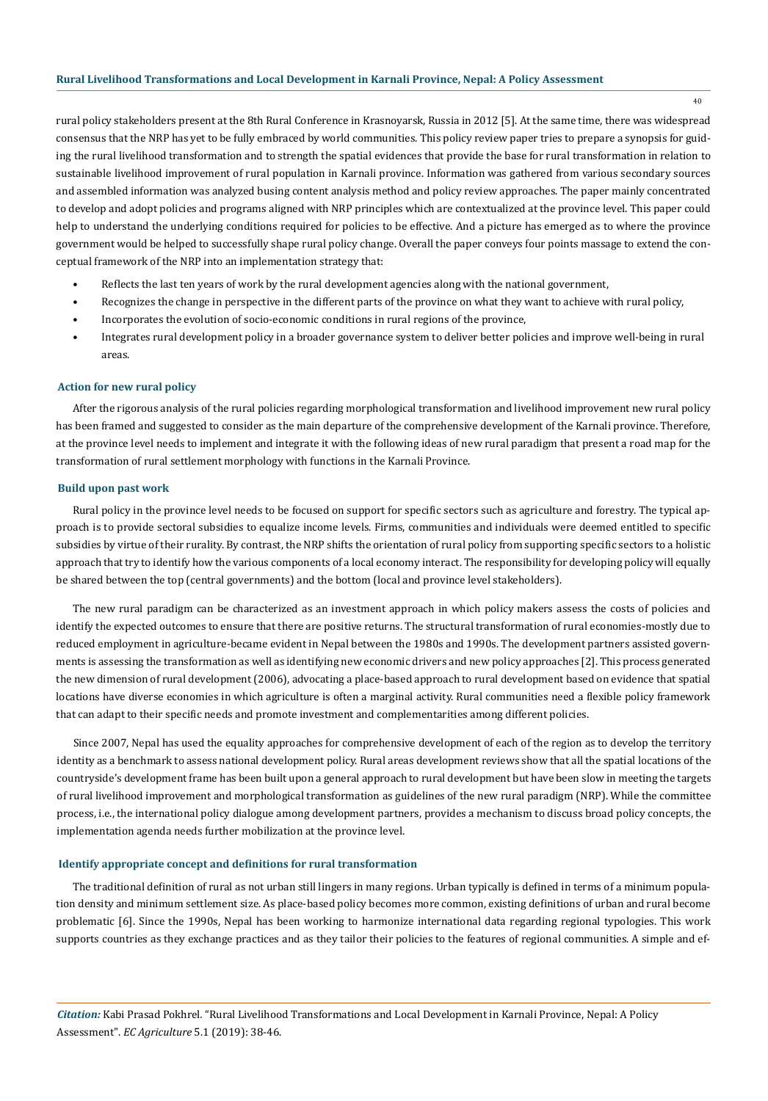rural policy stakeholders present at the 8th Rural Conference in Krasnoyarsk, Russia in 2012 [5]. At the same time, there was widespread consensus that the NRP has yet to be fully embraced by world communities. This policy review paper tries to prepare a synopsis for guiding the rural livelihood transformation and to strength the spatial evidences that provide the base for rural transformation in relation to sustainable livelihood improvement of rural population in Karnali province. Information was gathered from various secondary sources and assembled information was analyzed busing content analysis method and policy review approaches. The paper mainly concentrated to develop and adopt policies and programs aligned with NRP principles which are contextualized at the province level. This paper could help to understand the underlying conditions required for policies to be effective. And a picture has emerged as to where the province government would be helped to successfully shape rural policy change. Overall the paper conveys four points massage to extend the conceptual framework of the NRP into an implementation strategy that:

- Reflects the last ten years of work by the rural development agencies along with the national government,
- Recognizes the change in perspective in the different parts of the province on what they want to achieve with rural policy,
- Incorporates the evolution of socio-economic conditions in rural regions of the province,
- Integrates rural development policy in a broader governance system to deliver better policies and improve well-being in rural areas.

#### **Action for new rural policy**

After the rigorous analysis of the rural policies regarding morphological transformation and livelihood improvement new rural policy has been framed and suggested to consider as the main departure of the comprehensive development of the Karnali province. Therefore, at the province level needs to implement and integrate it with the following ideas of new rural paradigm that present a road map for the transformation of rural settlement morphology with functions in the Karnali Province.

## **Build upon past work**

Rural policy in the province level needs to be focused on support for specific sectors such as agriculture and forestry. The typical approach is to provide sectoral subsidies to equalize income levels. Firms, communities and individuals were deemed entitled to specific subsidies by virtue of their rurality. By contrast, the NRP shifts the orientation of rural policy from supporting specific sectors to a holistic approach that try to identify how the various components of a local economy interact. The responsibility for developing policy will equally be shared between the top (central governments) and the bottom (local and province level stakeholders).

The new rural paradigm can be characterized as an investment approach in which policy makers assess the costs of policies and identify the expected outcomes to ensure that there are positive returns. The structural transformation of rural economies-mostly due to reduced employment in agriculture-became evident in Nepal between the 1980s and 1990s. The development partners assisted governments is assessing the transformation as well as identifying new economic drivers and new policy approaches [2]. This process generated the new dimension of rural development (2006), advocating a place-based approach to rural development based on evidence that spatial locations have diverse economies in which agriculture is often a marginal activity. Rural communities need a flexible policy framework that can adapt to their specific needs and promote investment and complementarities among different policies.

Since 2007, Nepal has used the equality approaches for comprehensive development of each of the region as to develop the territory identity as a benchmark to assess national development policy. Rural areas development reviews show that all the spatial locations of the countryside's development frame has been built upon a general approach to rural development but have been slow in meeting the targets of rural livelihood improvement and morphological transformation as guidelines of the new rural paradigm (NRP). While the committee process, i.e., the international policy dialogue among development partners, provides a mechanism to discuss broad policy concepts, the implementation agenda needs further mobilization at the province level.

#### **Identify appropriate concept and definitions for rural transformation**

The traditional definition of rural as not urban still lingers in many regions. Urban typically is defined in terms of a minimum population density and minimum settlement size. As place-based policy becomes more common, existing definitions of urban and rural become problematic [6]. Since the 1990s, Nepal has been working to harmonize international data regarding regional typologies. This work supports countries as they exchange practices and as they tailor their policies to the features of regional communities. A simple and ef-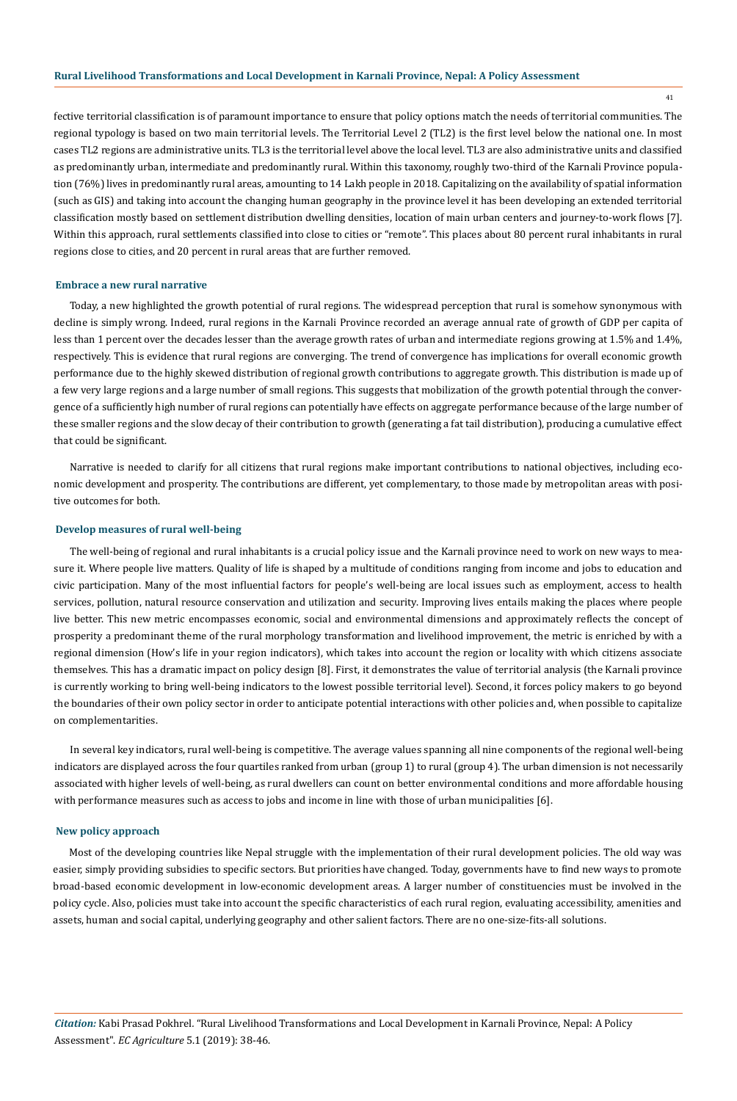41

fective territorial classification is of paramount importance to ensure that policy options match the needs of territorial communities. The regional typology is based on two main territorial levels. The Territorial Level 2 (TL2) is the first level below the national one. In most cases TL2 regions are administrative units. TL3 is the territorial level above the local level. TL3 are also administrative units and classified as predominantly urban, intermediate and predominantly rural. Within this taxonomy, roughly two-third of the Karnali Province population (76%) lives in predominantly rural areas, amounting to 14 Lakh people in 2018. Capitalizing on the availability of spatial information (such as GIS) and taking into account the changing human geography in the province level it has been developing an extended territorial classification mostly based on settlement distribution dwelling densities, location of main urban centers and journey-to-work flows [7]. Within this approach, rural settlements classified into close to cities or "remote". This places about 80 percent rural inhabitants in rural regions close to cities, and 20 percent in rural areas that are further removed.

#### **Embrace a new rural narrative**

Today, a new highlighted the growth potential of rural regions. The widespread perception that rural is somehow synonymous with decline is simply wrong. Indeed, rural regions in the Karnali Province recorded an average annual rate of growth of GDP per capita of less than 1 percent over the decades lesser than the average growth rates of urban and intermediate regions growing at 1.5% and 1.4%, respectively. This is evidence that rural regions are converging. The trend of convergence has implications for overall economic growth performance due to the highly skewed distribution of regional growth contributions to aggregate growth. This distribution is made up of a few very large regions and a large number of small regions. This suggests that mobilization of the growth potential through the convergence of a sufficiently high number of rural regions can potentially have effects on aggregate performance because of the large number of these smaller regions and the slow decay of their contribution to growth (generating a fat tail distribution), producing a cumulative effect that could be significant.

Narrative is needed to clarify for all citizens that rural regions make important contributions to national objectives, including economic development and prosperity. The contributions are different, yet complementary, to those made by metropolitan areas with positive outcomes for both.

## **Develop measures of rural well-being**

The well-being of regional and rural inhabitants is a crucial policy issue and the Karnali province need to work on new ways to measure it. Where people live matters. Quality of life is shaped by a multitude of conditions ranging from income and jobs to education and civic participation. Many of the most influential factors for people's well-being are local issues such as employment, access to health services, pollution, natural resource conservation and utilization and security. Improving lives entails making the places where people live better. This new metric encompasses economic, social and environmental dimensions and approximately reflects the concept of prosperity a predominant theme of the rural morphology transformation and livelihood improvement, the metric is enriched by with a regional dimension (How's life in your region indicators), which takes into account the region or locality with which citizens associate themselves. This has a dramatic impact on policy design [8]. First, it demonstrates the value of territorial analysis (the Karnali province is currently working to bring well-being indicators to the lowest possible territorial level). Second, it forces policy makers to go beyond the boundaries of their own policy sector in order to anticipate potential interactions with other policies and, when possible to capitalize on complementarities.

In several key indicators, rural well-being is competitive. The average values spanning all nine components of the regional well-being indicators are displayed across the four quartiles ranked from urban (group 1) to rural (group 4). The urban dimension is not necessarily associated with higher levels of well-being, as rural dwellers can count on better environmental conditions and more affordable housing with performance measures such as access to jobs and income in line with those of urban municipalities [6].

#### **New policy approach**

Most of the developing countries like Nepal struggle with the implementation of their rural development policies. The old way was easier, simply providing subsidies to specific sectors. But priorities have changed. Today, governments have to find new ways to promote broad-based economic development in low-economic development areas. A larger number of constituencies must be involved in the policy cycle. Also, policies must take into account the specific characteristics of each rural region, evaluating accessibility, amenities and assets, human and social capital, underlying geography and other salient factors. There are no one-size-fits-all solutions.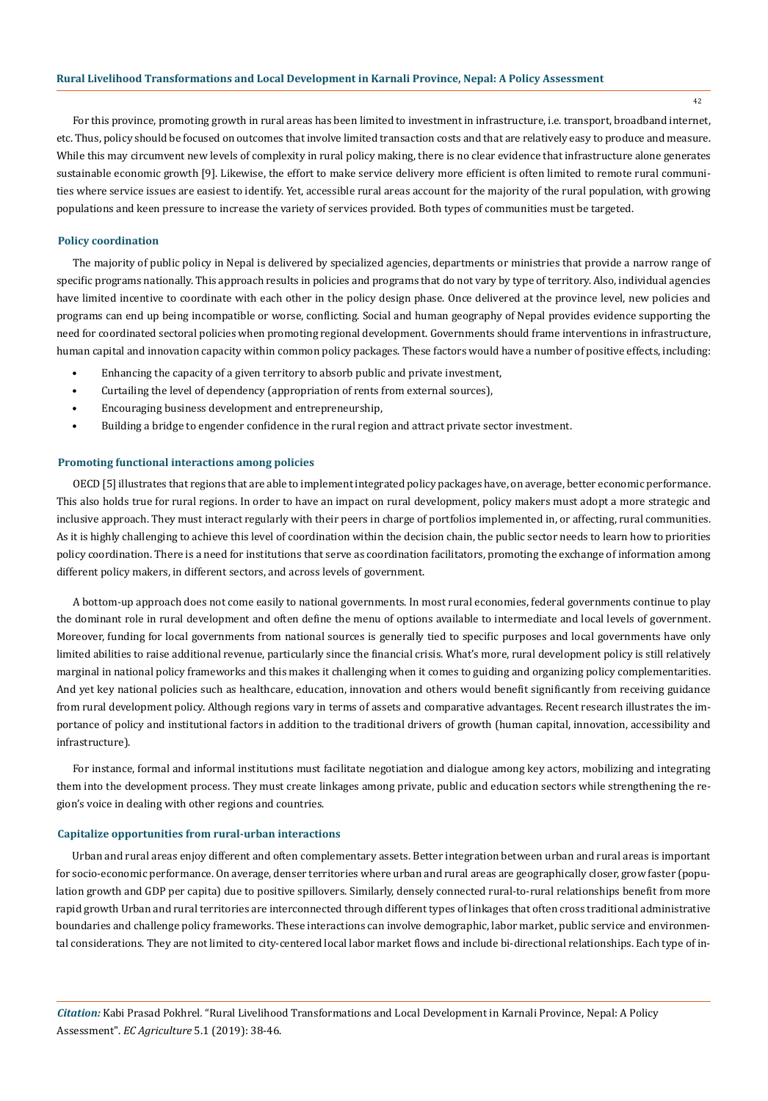## **Rural Livelihood Transformations and Local Development in Karnali Province, Nepal: A Policy Assessment**

For this province, promoting growth in rural areas has been limited to investment in infrastructure, i.e. transport, broadband internet, etc. Thus, policy should be focused on outcomes that involve limited transaction costs and that are relatively easy to produce and measure. While this may circumvent new levels of complexity in rural policy making, there is no clear evidence that infrastructure alone generates sustainable economic growth [9]. Likewise, the effort to make service delivery more efficient is often limited to remote rural communities where service issues are easiest to identify. Yet, accessible rural areas account for the majority of the rural population, with growing populations and keen pressure to increase the variety of services provided. Both types of communities must be targeted.

### **Policy coordination**

The majority of public policy in Nepal is delivered by specialized agencies, departments or ministries that provide a narrow range of specific programs nationally. This approach results in policies and programs that do not vary by type of territory. Also, individual agencies have limited incentive to coordinate with each other in the policy design phase. Once delivered at the province level, new policies and programs can end up being incompatible or worse, conflicting. Social and human geography of Nepal provides evidence supporting the need for coordinated sectoral policies when promoting regional development. Governments should frame interventions in infrastructure, human capital and innovation capacity within common policy packages. These factors would have a number of positive effects, including:

- Enhancing the capacity of a given territory to absorb public and private investment,
- Curtailing the level of dependency (appropriation of rents from external sources),
- Encouraging business development and entrepreneurship,
- Building a bridge to engender confidence in the rural region and attract private sector investment.

## **Promoting functional interactions among policies**

OECD [5] illustrates that regions that are able to implement integrated policy packages have, on average, better economic performance. This also holds true for rural regions. In order to have an impact on rural development, policy makers must adopt a more strategic and inclusive approach. They must interact regularly with their peers in charge of portfolios implemented in, or affecting, rural communities. As it is highly challenging to achieve this level of coordination within the decision chain, the public sector needs to learn how to priorities policy coordination. There is a need for institutions that serve as coordination facilitators, promoting the exchange of information among different policy makers, in different sectors, and across levels of government.

A bottom-up approach does not come easily to national governments. In most rural economies, federal governments continue to play the dominant role in rural development and often define the menu of options available to intermediate and local levels of government. Moreover, funding for local governments from national sources is generally tied to specific purposes and local governments have only limited abilities to raise additional revenue, particularly since the financial crisis. What's more, rural development policy is still relatively marginal in national policy frameworks and this makes it challenging when it comes to guiding and organizing policy complementarities. And yet key national policies such as healthcare, education, innovation and others would benefit significantly from receiving guidance from rural development policy. Although regions vary in terms of assets and comparative advantages. Recent research illustrates the importance of policy and institutional factors in addition to the traditional drivers of growth (human capital, innovation, accessibility and infrastructure).

For instance, formal and informal institutions must facilitate negotiation and dialogue among key actors, mobilizing and integrating them into the development process. They must create linkages among private, public and education sectors while strengthening the region's voice in dealing with other regions and countries.

## **Capitalize opportunities from rural-urban interactions**

Urban and rural areas enjoy different and often complementary assets. Better integration between urban and rural areas is important for socio-economic performance. On average, denser territories where urban and rural areas are geographically closer, grow faster (population growth and GDP per capita) due to positive spillovers. Similarly, densely connected rural-to-rural relationships benefit from more rapid growth Urban and rural territories are interconnected through different types of linkages that often cross traditional administrative boundaries and challenge policy frameworks. These interactions can involve demographic, labor market, public service and environmental considerations. They are not limited to city-centered local labor market flows and include bi-directional relationships. Each type of in-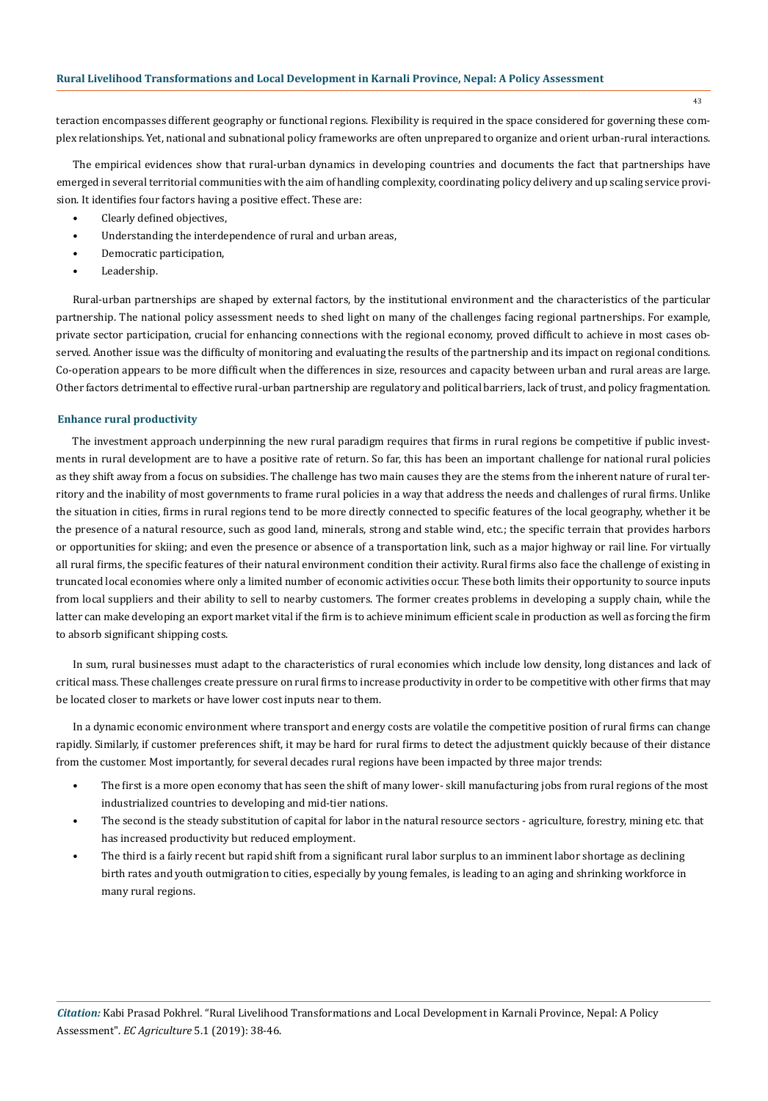teraction encompasses different geography or functional regions. Flexibility is required in the space considered for governing these complex relationships. Yet, national and subnational policy frameworks are often unprepared to organize and orient urban-rural interactions.

The empirical evidences show that rural-urban dynamics in developing countries and documents the fact that partnerships have emerged in several territorial communities with the aim of handling complexity, coordinating policy delivery and up scaling service provision. It identifies four factors having a positive effect. These are:

- Clearly defined objectives,
- Understanding the interdependence of rural and urban areas,
- Democratic participation,
- Leadership.

Rural-urban partnerships are shaped by external factors, by the institutional environment and the characteristics of the particular partnership. The national policy assessment needs to shed light on many of the challenges facing regional partnerships. For example, private sector participation, crucial for enhancing connections with the regional economy, proved difficult to achieve in most cases observed. Another issue was the difficulty of monitoring and evaluating the results of the partnership and its impact on regional conditions. Co-operation appears to be more difficult when the differences in size, resources and capacity between urban and rural areas are large. Other factors detrimental to effective rural-urban partnership are regulatory and political barriers, lack of trust, and policy fragmentation.

## **Enhance rural productivity**

The investment approach underpinning the new rural paradigm requires that firms in rural regions be competitive if public investments in rural development are to have a positive rate of return. So far, this has been an important challenge for national rural policies as they shift away from a focus on subsidies. The challenge has two main causes they are the stems from the inherent nature of rural territory and the inability of most governments to frame rural policies in a way that address the needs and challenges of rural firms. Unlike the situation in cities, firms in rural regions tend to be more directly connected to specific features of the local geography, whether it be the presence of a natural resource, such as good land, minerals, strong and stable wind, etc.; the specific terrain that provides harbors or opportunities for skiing; and even the presence or absence of a transportation link, such as a major highway or rail line. For virtually all rural firms, the specific features of their natural environment condition their activity. Rural firms also face the challenge of existing in truncated local economies where only a limited number of economic activities occur. These both limits their opportunity to source inputs from local suppliers and their ability to sell to nearby customers. The former creates problems in developing a supply chain, while the latter can make developing an export market vital if the firm is to achieve minimum efficient scale in production as well as forcing the firm to absorb significant shipping costs.

In sum, rural businesses must adapt to the characteristics of rural economies which include low density, long distances and lack of critical mass. These challenges create pressure on rural firms to increase productivity in order to be competitive with other firms that may be located closer to markets or have lower cost inputs near to them.

In a dynamic economic environment where transport and energy costs are volatile the competitive position of rural firms can change rapidly. Similarly, if customer preferences shift, it may be hard for rural firms to detect the adjustment quickly because of their distance from the customer. Most importantly, for several decades rural regions have been impacted by three major trends:

- The first is a more open economy that has seen the shift of many lower- skill manufacturing jobs from rural regions of the most industrialized countries to developing and mid-tier nations.
- The second is the steady substitution of capital for labor in the natural resource sectors agriculture, forestry, mining etc. that has increased productivity but reduced employment.
- The third is a fairly recent but rapid shift from a significant rural labor surplus to an imminent labor shortage as declining birth rates and youth outmigration to cities, especially by young females, is leading to an aging and shrinking workforce in many rural regions.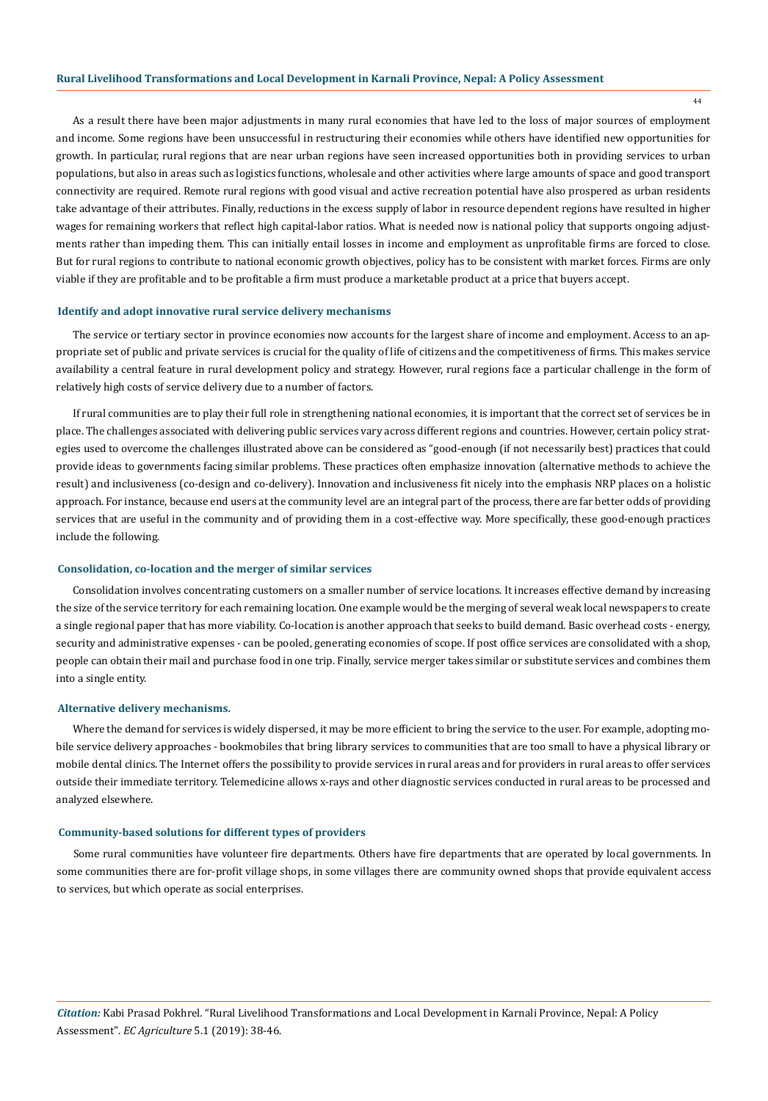As a result there have been major adjustments in many rural economies that have led to the loss of major sources of employment and income. Some regions have been unsuccessful in restructuring their economies while others have identified new opportunities for growth. In particular, rural regions that are near urban regions have seen increased opportunities both in providing services to urban populations, but also in areas such as logistics functions, wholesale and other activities where large amounts of space and good transport connectivity are required. Remote rural regions with good visual and active recreation potential have also prospered as urban residents take advantage of their attributes. Finally, reductions in the excess supply of labor in resource dependent regions have resulted in higher wages for remaining workers that reflect high capital-labor ratios. What is needed now is national policy that supports ongoing adjustments rather than impeding them. This can initially entail losses in income and employment as unprofitable firms are forced to close. But for rural regions to contribute to national economic growth objectives, policy has to be consistent with market forces. Firms are only viable if they are profitable and to be profitable a firm must produce a marketable product at a price that buyers accept.

#### **Identify and adopt innovative rural service delivery mechanisms**

The service or tertiary sector in province economies now accounts for the largest share of income and employment. Access to an appropriate set of public and private services is crucial for the quality of life of citizens and the competitiveness of firms. This makes service availability a central feature in rural development policy and strategy. However, rural regions face a particular challenge in the form of relatively high costs of service delivery due to a number of factors.

If rural communities are to play their full role in strengthening national economies, it is important that the correct set of services be in place. The challenges associated with delivering public services vary across different regions and countries. However, certain policy strategies used to overcome the challenges illustrated above can be considered as "good-enough (if not necessarily best) practices that could provide ideas to governments facing similar problems. These practices often emphasize innovation (alternative methods to achieve the result) and inclusiveness (co-design and co-delivery). Innovation and inclusiveness fit nicely into the emphasis NRP places on a holistic approach. For instance, because end users at the community level are an integral part of the process, there are far better odds of providing services that are useful in the community and of providing them in a cost-effective way. More specifically, these good-enough practices include the following.

#### **Consolidation, co-location and the merger of similar services**

Consolidation involves concentrating customers on a smaller number of service locations. It increases effective demand by increasing the size of the service territory for each remaining location. One example would be the merging of several weak local newspapers to create a single regional paper that has more viability. Co-location is another approach that seeks to build demand. Basic overhead costs - energy, security and administrative expenses - can be pooled, generating economies of scope. If post office services are consolidated with a shop, people can obtain their mail and purchase food in one trip. Finally, service merger takes similar or substitute services and combines them into a single entity.

## **Alternative delivery mechanisms.**

Where the demand for services is widely dispersed, it may be more efficient to bring the service to the user. For example, adopting mobile service delivery approaches - bookmobiles that bring library services to communities that are too small to have a physical library or mobile dental clinics. The Internet offers the possibility to provide services in rural areas and for providers in rural areas to offer services outside their immediate territory. Telemedicine allows x-rays and other diagnostic services conducted in rural areas to be processed and analyzed elsewhere.

#### **Community-based solutions for different types of providers**

Some rural communities have volunteer fire departments. Others have fire departments that are operated by local governments. In some communities there are for-profit village shops, in some villages there are community owned shops that provide equivalent access to services, but which operate as social enterprises.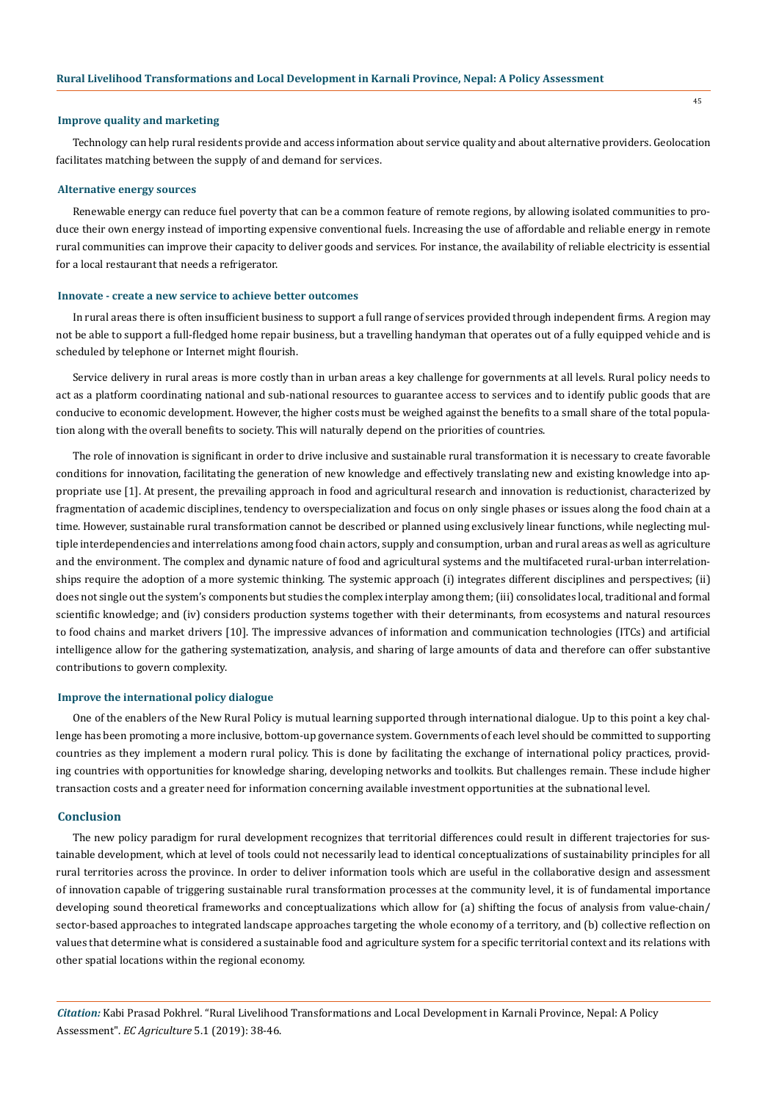#### **Improve quality and marketing**

Technology can help rural residents provide and access information about service quality and about alternative providers. Geolocation facilitates matching between the supply of and demand for services.

#### **Alternative energy sources**

Renewable energy can reduce fuel poverty that can be a common feature of remote regions, by allowing isolated communities to produce their own energy instead of importing expensive conventional fuels. Increasing the use of affordable and reliable energy in remote rural communities can improve their capacity to deliver goods and services. For instance, the availability of reliable electricity is essential for a local restaurant that needs a refrigerator.

#### **Innovate - create a new service to achieve better outcomes**

In rural areas there is often insufficient business to support a full range of services provided through independent firms. A region may not be able to support a full-fledged home repair business, but a travelling handyman that operates out of a fully equipped vehicle and is scheduled by telephone or Internet might flourish.

Service delivery in rural areas is more costly than in urban areas a key challenge for governments at all levels. Rural policy needs to act as a platform coordinating national and sub-national resources to guarantee access to services and to identify public goods that are conducive to economic development. However, the higher costs must be weighed against the benefits to a small share of the total population along with the overall benefits to society. This will naturally depend on the priorities of countries.

The role of innovation is significant in order to drive inclusive and sustainable rural transformation it is necessary to create favorable conditions for innovation, facilitating the generation of new knowledge and effectively translating new and existing knowledge into appropriate use [1]. At present, the prevailing approach in food and agricultural research and innovation is reductionist, characterized by fragmentation of academic disciplines, tendency to overspecialization and focus on only single phases or issues along the food chain at a time. However, sustainable rural transformation cannot be described or planned using exclusively linear functions, while neglecting multiple interdependencies and interrelations among food chain actors, supply and consumption, urban and rural areas as well as agriculture and the environment. The complex and dynamic nature of food and agricultural systems and the multifaceted rural-urban interrelationships require the adoption of a more systemic thinking. The systemic approach (i) integrates different disciplines and perspectives; (ii) does not single out the system's components but studies the complex interplay among them; (iii) consolidates local, traditional and formal scientific knowledge; and (iv) considers production systems together with their determinants, from ecosystems and natural resources to food chains and market drivers [10]. The impressive advances of information and communication technologies (ITCs) and artificial intelligence allow for the gathering systematization, analysis, and sharing of large amounts of data and therefore can offer substantive contributions to govern complexity.

#### **Improve the international policy dialogue**

One of the enablers of the New Rural Policy is mutual learning supported through international dialogue. Up to this point a key challenge has been promoting a more inclusive, bottom-up governance system. Governments of each level should be committed to supporting countries as they implement a modern rural policy. This is done by facilitating the exchange of international policy practices, providing countries with opportunities for knowledge sharing, developing networks and toolkits. But challenges remain. These include higher transaction costs and a greater need for information concerning available investment opportunities at the subnational level.

## **Conclusion**

The new policy paradigm for rural development recognizes that territorial differences could result in different trajectories for sustainable development, which at level of tools could not necessarily lead to identical conceptualizations of sustainability principles for all rural territories across the province. In order to deliver information tools which are useful in the collaborative design and assessment of innovation capable of triggering sustainable rural transformation processes at the community level, it is of fundamental importance developing sound theoretical frameworks and conceptualizations which allow for (a) shifting the focus of analysis from value-chain/ sector-based approaches to integrated landscape approaches targeting the whole economy of a territory, and (b) collective reflection on values that determine what is considered a sustainable food and agriculture system for a specific territorial context and its relations with other spatial locations within the regional economy.

*Citation:* Kabi Prasad Pokhrel*.* "Rural Livelihood Transformations and Local Development in Karnali Province, Nepal: A Policy Assessment". *EC Agriculture* 5.1 (2019): 38-46.